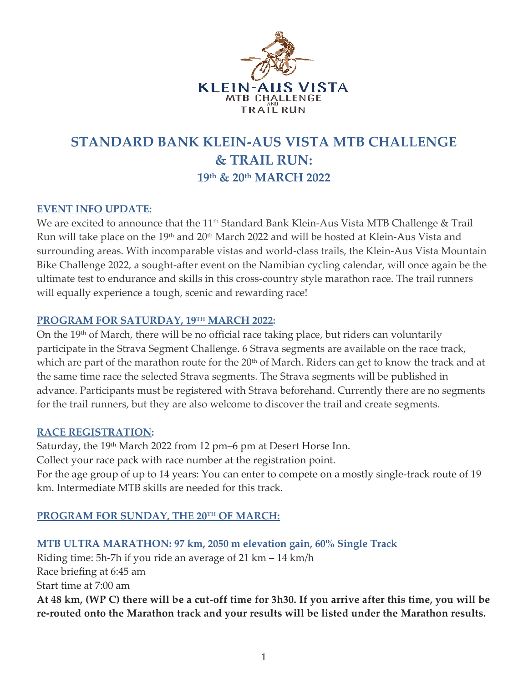

# **STANDARD BANK KLEIN-AUS VISTA MTB CHALLENGE & TRAIL RUN: 19th & 20 th MARCH 2022**

## **EVENT INFO UPDATE:**

We are excited to announce that the 11<sup>th</sup> Standard Bank Klein-Aus Vista MTB Challenge & Trail Run will take place on the 19<sup>th</sup> and 20<sup>th</sup> March 2022 and will be hosted at Klein-Aus Vista and surrounding areas. With incomparable vistas and world-class trails, the Klein-Aus Vista Mountain Bike Challenge 2022, a sought-after event on the Namibian cycling calendar, will once again be the ultimate test to endurance and skills in this cross-country style marathon race. The trail runners will equally experience a tough, scenic and rewarding race!

#### **PROGRAM FOR SATURDAY, 19TH MARCH 2022:**

On the 19th of March, there will be no official race taking place, but riders can voluntarily participate in the Strava Segment Challenge. 6 Strava segments are available on the race track, which are part of the marathon route for the 20<sup>th</sup> of March. Riders can get to know the track and at the same time race the selected Strava segments. The Strava segments will be published in advance. Participants must be registered with Strava beforehand. Currently there are no segments for the trail runners, but they are also welcome to discover the trail and create segments.

## **RACE REGISTRATION:**

Saturday, the 19<sup>th</sup> March 2022 from 12 pm–6 pm at Desert Horse Inn. Collect your race pack with race number at the registration point. For the age group of up to 14 years: You can enter to compete on a mostly single-track route of 19 km. Intermediate MTB skills are needed for this track.

# **PROGRAM FOR SUNDAY, THE 20TH OF MARCH:**

**MTB ULTRA MARATHON: 97 km, 2050 m elevation gain, 60% Single Track** Riding time: 5h-7h if you ride an average of 21 km – 14 km/h Race briefing at 6:45 am Start time at 7:00 am **At 48 km, (WP C) there will be a cut-off time for 3h30. If you arrive after this time, you will be re-routed onto the Marathon track and your results will be listed under the Marathon results.**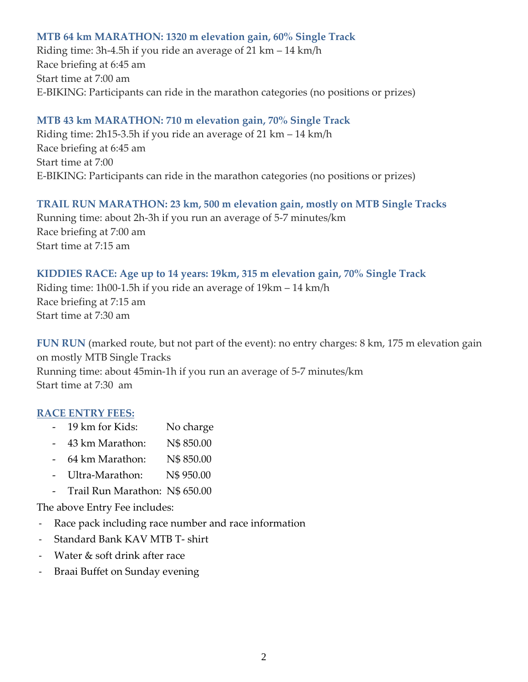## **MTB 64 km MARATHON: 1320 m elevation gain, 60% Single Track**

Riding time: 3h-4.5h if you ride an average of 21 km – 14 km/h Race briefing at 6:45 am Start time at 7:00 am E-BIKING: Participants can ride in the marathon categories (no positions or prizes)

## **MTB 43 km MARATHON: 710 m elevation gain, 70% Single Track**

Riding time: 2h15-3.5h if you ride an average of 21 km – 14 km/h Race briefing at 6:45 am Start time at 7:00 E-BIKING: Participants can ride in the marathon categories (no positions or prizes)

## **TRAIL RUN MARATHON: 23 km, 500 m elevation gain, mostly on MTB Single Tracks**

Running time: about 2h-3h if you run an average of 5-7 minutes/km Race briefing at 7:00 am Start time at 7:15 am

## **KIDDIES RACE: Age up to 14 years: 19km, 315 m elevation gain, 70% Single Track**

Riding time: 1h00-1.5h if you ride an average of 19km – 14 km/h Race briefing at 7:15 am Start time at 7:30 am

**FUN RUN** (marked route, but not part of the event): no entry charges: 8 km, 175 m elevation gain on mostly MTB Single Tracks Running time: about 45min-1h if you run an average of 5-7 minutes/km Start time at 7:30 am

## **RACE ENTRY FEES:**

- 19 km for Kids: No charge
- 43 km Marathon: N\$ 850.00
- 64 km Marathon: N\$ 850.00
- Ultra-Marathon: N\$ 950.00
- Trail Run Marathon: N\$ 650.00

The above Entry Fee includes:

- Race pack including race number and race information
- Standard Bank KAV MTB T- shirt
- Water & soft drink after race
- Braai Buffet on Sunday evening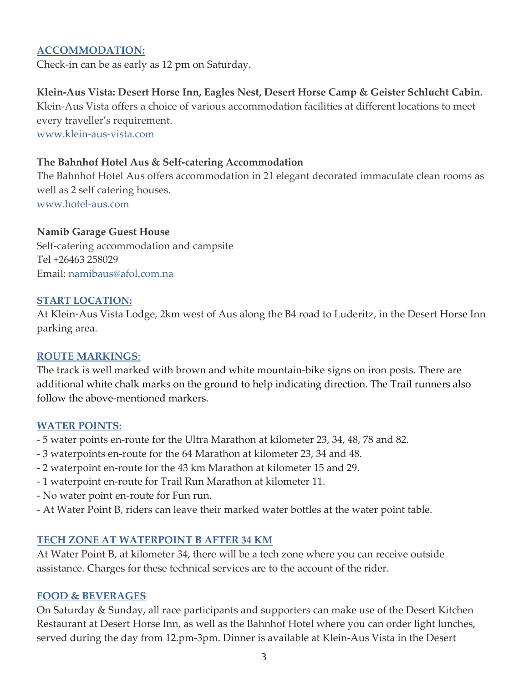#### **ACCOMMODATION:**

Check-in can be as early as 12 pm on Saturday.

## **Klein-Aus Vista: Desert Horse Inn, Eagles Nest, Desert Horse Camp & Geister Schlucht Cabin.**

Klein-Aus Vista offers a choice of various accommodation facilities at different locations to meet every traveller's requirement.

www.klein-aus-vista.com

#### **The Bahnhof Hotel Aus & Self-catering Accommodation**

The Bahnhof Hotel Aus offers accommodation in 21 elegant decorated immaculate clean rooms as well as 2 self catering houses. [www.hotel-aus.com](http://www.hotel-aus.com/)

#### **Namib Garage Guest House**

Self-catering accommodation and campsite Tel +26463 258029 Email: [namibaus@afol.com.na](mailto:namibaus@afol.com.na)

#### **START LOCATION:**

At Klein-Aus Vista Lodge, 2km west of Aus along the B4 road to Luderitz, in the Desert Horse Inn parking area.

#### **ROUTE MARKINGS**:

The track is well marked with brown and white mountain-bike signs on iron posts. There are additional white chalk marks on the ground to help indicating direction. The Trail runners also follow the above-mentioned markers.

#### **WATER POINTS:**

- 5 water points en-route for the Ultra Marathon at kilometer 23, 34, 48, 78 and 82.
- 3 waterpoints en-route for the 64 Marathon at kilometer 23, 34 and 48.
- 2 waterpoint en-route for the 43 km Marathon at kilometer 15 and 29.
- 1 waterpoint en-route for Trail Run Marathon at kilometer 11.
- No water point en-route for Fun run.
- At Water Point B, riders can leave their marked water bottles at the water point table.

## **TECH ZONE AT WATERPOINT B AFTER 34 KM**

At Water Point B, at kilometer 34, there will be a tech zone where you can receive outside assistance. Charges for these technical services are to the account of the rider.

#### **FOOD & BEVERAGES**

On Saturday & Sunday, all race participants and supporters can make use of the Desert Kitchen Restaurant at Desert Horse Inn, as well as the Bahnhof Hotel where you can order light lunches, served during the day from 12.pm-3pm. Dinner is available at Klein-Aus Vista in the Desert